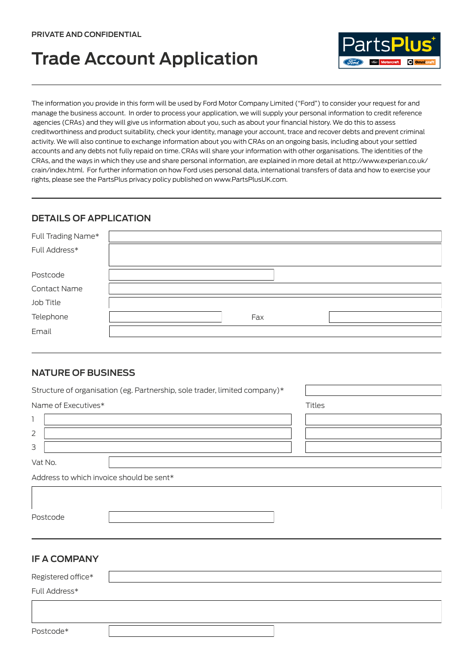# **Trade Account Application**



The information you provide in this form will be used by Ford Motor Company Limited ("Ford") to consider your request for and manage the business account. In order to process your application, we will supply your personal information to credit reference agencies (CRAs) and they will give us information about you, such as about your financial history. We do this to assess creditworthiness and product suitability, check your identity, manage your account, trace and recover debts and prevent criminal activity. We will also continue to exchange information about you with CRAs on an ongoing basis, including about your settled accounts and any debts not fully repaid on time. CRAs will share your information with other organisations. The identities of the CRAs, and the ways in which they use and share personal information, are explained in more detail at http://www.experian.co.uk/ crain/index.html. For further information on how Ford uses personal data, international transfers of data and how to exercise your rights, please see the PartsPlus privacy policy published on www.PartsPlusUK.com.

## **DETAILS OF APPLICATION**

| Full Trading Name*  |     |
|---------------------|-----|
| Full Address*       |     |
|                     |     |
| Postcode            |     |
| <b>Contact Name</b> |     |
| Job Title           |     |
| Telephone           | Fax |
| Email               |     |

#### **NATURE OF BUSINESS**

| Structure of organisation (eg. Partnership, sole trader, limited company)* |               |
|----------------------------------------------------------------------------|---------------|
| Name of Executives*                                                        | <b>Titles</b> |
| 1                                                                          |               |
| $\overline{2}$                                                             |               |
| 3                                                                          |               |
| Vat No.                                                                    |               |
| Address to which invoice should be sent*                                   |               |
|                                                                            |               |
|                                                                            |               |
| Postcode                                                                   |               |
|                                                                            |               |
|                                                                            |               |
| <b>IF A COMPANY</b>                                                        |               |
| Registered office*                                                         |               |
| Full Address*                                                              |               |

Postcode\*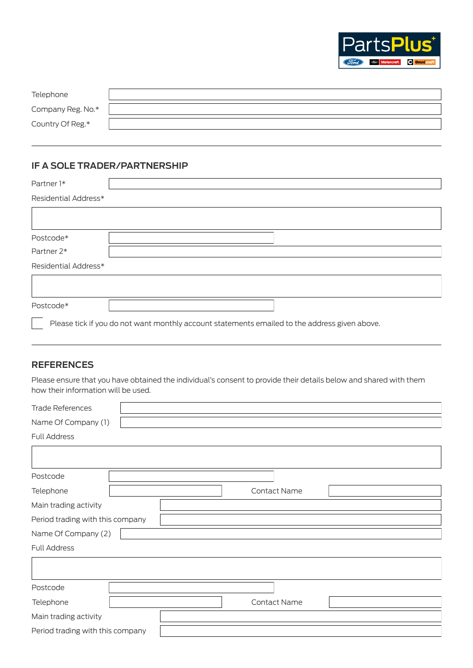

| Telephone         |  |
|-------------------|--|
| Company Reg. No.* |  |
| Country Of Reg.*  |  |

## **IF A SOLE TRADER/PARTNERSHIP**

| Partner <sub>1*</sub> |                                                                                               |
|-----------------------|-----------------------------------------------------------------------------------------------|
| Residential Address*  |                                                                                               |
|                       |                                                                                               |
|                       |                                                                                               |
| Postcode*             |                                                                                               |
| Partner 2*            |                                                                                               |
| Residential Address*  |                                                                                               |
|                       |                                                                                               |
|                       |                                                                                               |
| Postcode*             |                                                                                               |
|                       | Please tick if you do not want monthly account statements emailed to the address given above. |

## **REFERENCES**

Please ensure that you have obtained the individual's consent to provide their details below and shared with them how their information will be used.

| <b>Trade References</b>          |  |                     |  |
|----------------------------------|--|---------------------|--|
| Name Of Company (1)              |  |                     |  |
| Full Address                     |  |                     |  |
|                                  |  |                     |  |
| Postcode                         |  |                     |  |
| Telephone                        |  | <b>Contact Name</b> |  |
| Main trading activity            |  |                     |  |
| Period trading with this company |  |                     |  |
| Name Of Company (2)              |  |                     |  |
| Full Address                     |  |                     |  |
|                                  |  |                     |  |
| Postcode                         |  |                     |  |
| Telephone                        |  | Contact Name        |  |
| Main trading activity            |  |                     |  |
| Period trading with this company |  |                     |  |